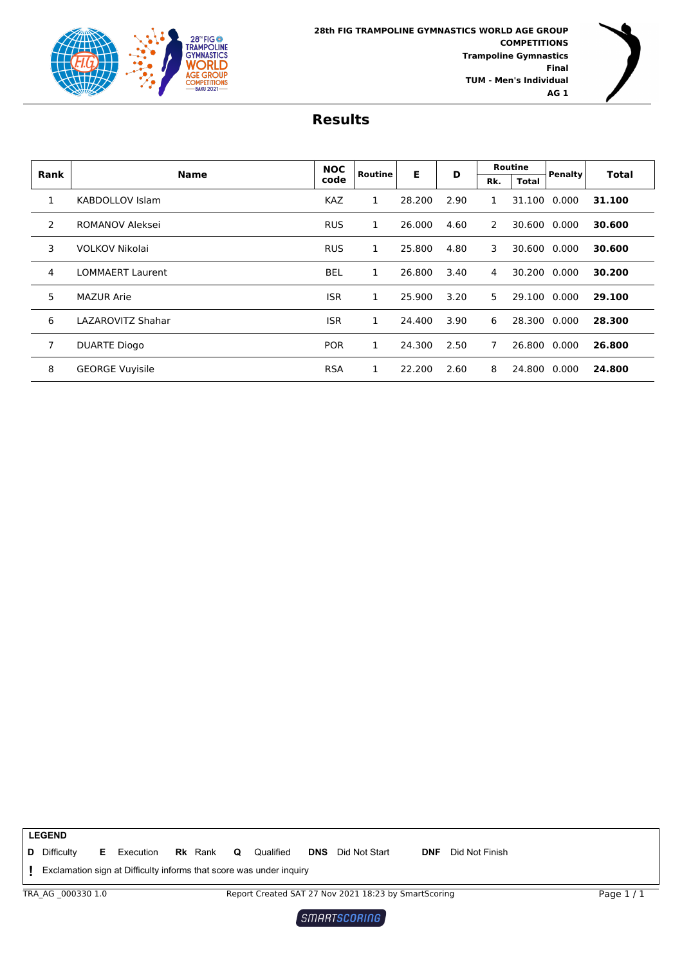

| Rank | <b>Name</b>             | <b>NOC</b> | Routine | Е      | D    | <b>Routine</b> |              | Penalty      | <b>Total</b> |
|------|-------------------------|------------|---------|--------|------|----------------|--------------|--------------|--------------|
|      |                         | code       |         |        |      | Rk.            | <b>Total</b> |              |              |
| 1    | KABDOLLOV Islam         | <b>KAZ</b> | 1       | 28.200 | 2.90 | 1              |              | 31.100 0.000 | 31.100       |
| 2    | ROMANOV Aleksei         | <b>RUS</b> | 1       | 26.000 | 4.60 | 2              |              | 30.600 0.000 | 30.600       |
| 3    | VOLKOV Nikolai          | <b>RUS</b> | 1       | 25.800 | 4.80 | 3              | 30.600       | 0.000        | 30.600       |
| 4    | <b>LOMMAERT Laurent</b> | <b>BEL</b> | 1       | 26.800 | 3.40 | 4              | 30.200       | 0.000        | 30.200       |
| 5.   | <b>MAZUR Arie</b>       | <b>ISR</b> | 1       | 25,900 | 3.20 | 5              | 29.100       | 0.000        | 29.100       |
| 6    | LAZAROVITZ Shahar       | <b>ISR</b> | 1       | 24.400 | 3.90 | 6              | 28.300 0.000 |              | 28.300       |
| 7    | <b>DUARTE Diogo</b>     | <b>POR</b> | 1       | 24.300 | 2.50 | 7              | 26.800 0.000 |              | 26.800       |
| 8    | <b>GEORGE Vuyisile</b>  | <b>RSA</b> | 1       | 22.200 | 2.60 | 8              | 24.800       | 0.000        | 24.800       |

**LEGEND E** Execution **Rk** Rank **Q** Qualified **DNS** Did Not Start **Rk** Rank **Q** Qualified **DNS** Did Not Start **DNF** Did Not Finish **D** Difficulty Exclamation sign at Difficulty informs that score was under inquiry **!** TRA\_AG \_000330 1.0 Report Created SAT 27 Nov 2021 18:23 by SmartScoring Page 1 / 1 $\left[$  SMARTSCORING  $\right]$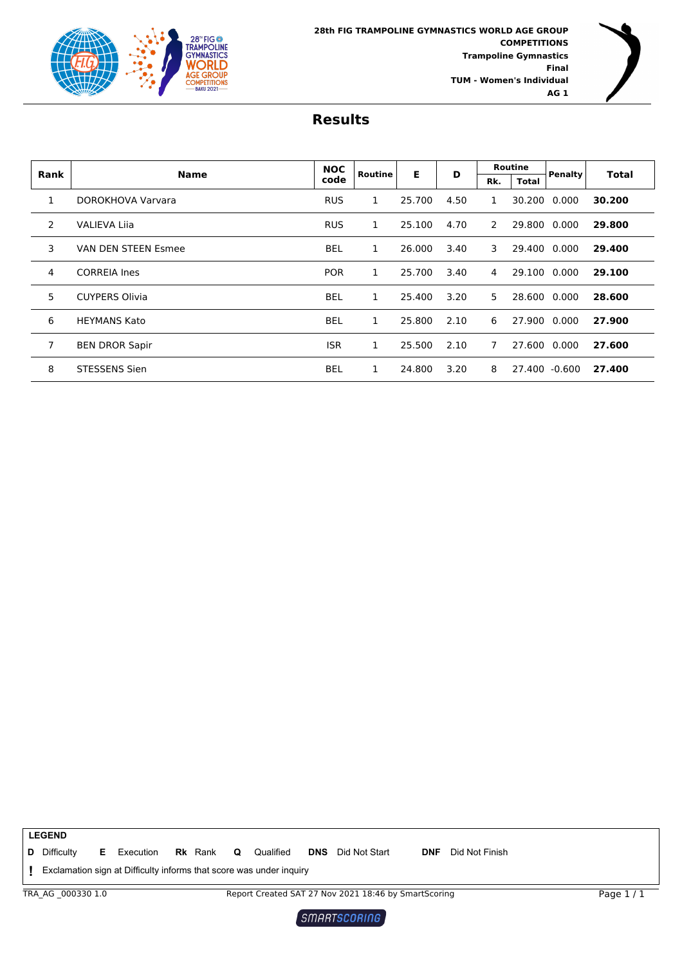



| Rank | <b>Name</b>                | <b>NOC</b> | Routine | Е      | D    |     | <b>Routine</b> | Penalty | <b>Total</b> |
|------|----------------------------|------------|---------|--------|------|-----|----------------|---------|--------------|
|      |                            | code       |         |        |      | Rk. | <b>Total</b>   |         |              |
| 1    | DOROKHOVA Varvara          | <b>RUS</b> | 1       | 25.700 | 4.50 | 1   | 30.200         | 0.000   | 30.200       |
| 2    | <b>VALIEVA Lija</b>        | <b>RUS</b> | 1       | 25.100 | 4.70 | 2   | 29.800         | 0.000   | 29.800       |
| 3    | <b>VAN DEN STEEN Esmee</b> | <b>BEL</b> | 1       | 26,000 | 3.40 | 3   | 29.400         | 0.000   | 29,400       |
| 4    | <b>CORREIA Ines</b>        | <b>POR</b> | 1       | 25.700 | 3.40 | 4   | 29.100         | 0.000   | 29.100       |
| 5    | <b>CUYPERS Olivia</b>      | BEL        | 1       | 25.400 | 3.20 | 5   | 28.600         | 0.000   | 28.600       |
| 6    | <b>HEYMANS Kato</b>        | <b>BEL</b> | 1       | 25.800 | 2.10 | 6   | 27.900         | 0.000   | 27.900       |
| 7    | <b>BEN DROR Sapir</b>      | <b>ISR</b> | 1       | 25.500 | 2.10 | 7   | 27.600         | 0.000   | 27.600       |
| 8    | <b>STESSENS Sien</b>       | <b>BEL</b> | 1       | 24.800 | 3.20 | 8   | 27.400         | -0.600  | 27.400       |

**Rk** Rank **Q** Qualified **DNS** Did Not Start **DNF** Did Not Finish Exclamation sign at Difficulty informs that score was under inquiry **! E** Execution **Rk** Rank **Q** Qualified **DNS** Did Not Start **D** Difficulty TRA\_AG \_000330 1.0 Report Created SAT 27 Nov 2021 18:46 by SmartScoring **LEGEND** Page 1 / 1

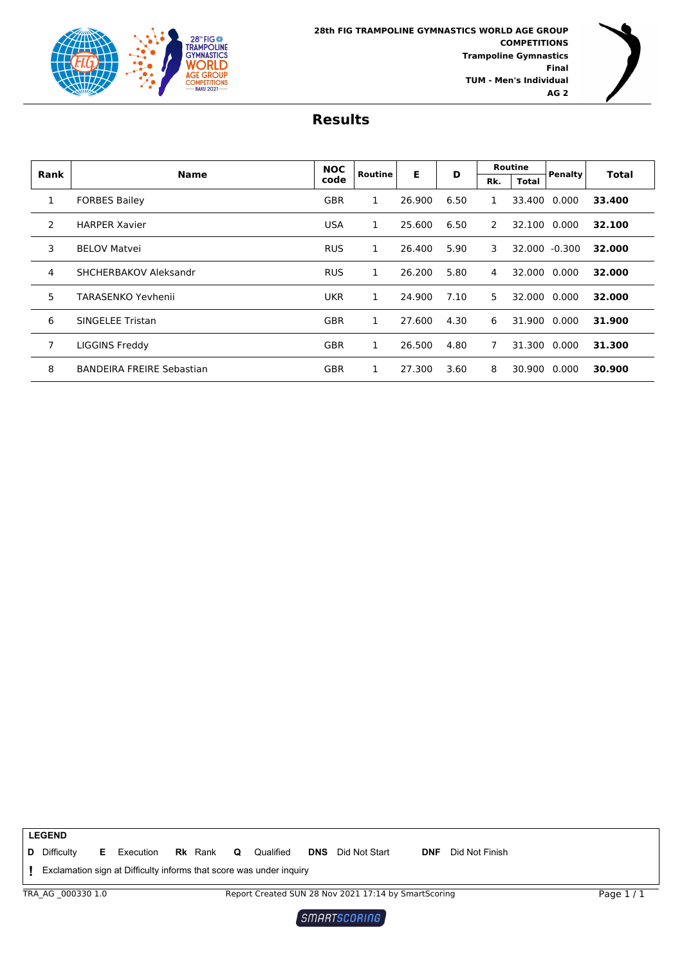

| Rank | <b>Name</b>                      | <b>NOC</b> | Routine      | Е      | D    |     | <b>Routine</b> | Penalty      | <b>Total</b> |
|------|----------------------------------|------------|--------------|--------|------|-----|----------------|--------------|--------------|
|      |                                  | code       |              |        |      | Rk. | <b>Total</b>   |              |              |
| 1    | <b>FORBES Bailey</b>             | <b>GBR</b> | 1            | 26.900 | 6.50 | 1   |                | 33,400 0.000 | 33.400       |
| 2    | <b>HARPER Xavier</b>             | <b>USA</b> | 1            | 25.600 | 6.50 | 2   |                | 32.100 0.000 | 32.100       |
| 3    | <b>BELOV Matvei</b>              | <b>RUS</b> | $\mathbf{1}$ | 26.400 | 5.90 | 3   | 32.000         | $-0.300$     | 32.000       |
| 4    | SHCHERBAKOV Aleksandr            | <b>RUS</b> | 1            | 26.200 | 5.80 | 4   | 32.000         | 0.000        | 32.000       |
| 5    | TARASENKO Yevhenii               | <b>UKR</b> | 1            | 24.900 | 7.10 | 5   | 32.000         | 0.000        | 32.000       |
| 6    | <b>SINGELEE Tristan</b>          | <b>GBR</b> | 1            | 27.600 | 4.30 | 6   | 31.900         | 0.000        | 31.900       |
| 7    | LIGGINS Freddy                   | <b>GBR</b> | 1            | 26.500 | 4.80 | 7   | 31.300         | 0.000        | 31.300       |
| 8    | <b>BANDEIRA FREIRE Sebastian</b> | <b>GBR</b> | 1            | 27.300 | 3.60 | 8   | 30.900         | 0.000        | 30.900       |

|                 | <b>LEGEND</b>                                                       |    |           |  |                |          |           |            |                                                      |            |                |  |            |
|-----------------|---------------------------------------------------------------------|----|-----------|--|----------------|----------|-----------|------------|------------------------------------------------------|------------|----------------|--|------------|
|                 | <b>D</b> Difficulty                                                 | Е. | Execution |  | <b>Rk</b> Rank | $\Omega$ | Qualified | <b>DNS</b> | Did Not Start                                        | <b>DNF</b> | Did Not Finish |  |            |
|                 | Exclamation sign at Difficulty informs that score was under inquiry |    |           |  |                |          |           |            |                                                      |            |                |  |            |
|                 | TRA AG 0003301.0                                                    |    |           |  |                |          |           |            | Report Created SUN 28 Nov 2021 17:14 by SmartScoring |            |                |  | Page $1/1$ |
| I SMORTSCORIOS. |                                                                     |    |           |  |                |          |           |            |                                                      |            |                |  |            |

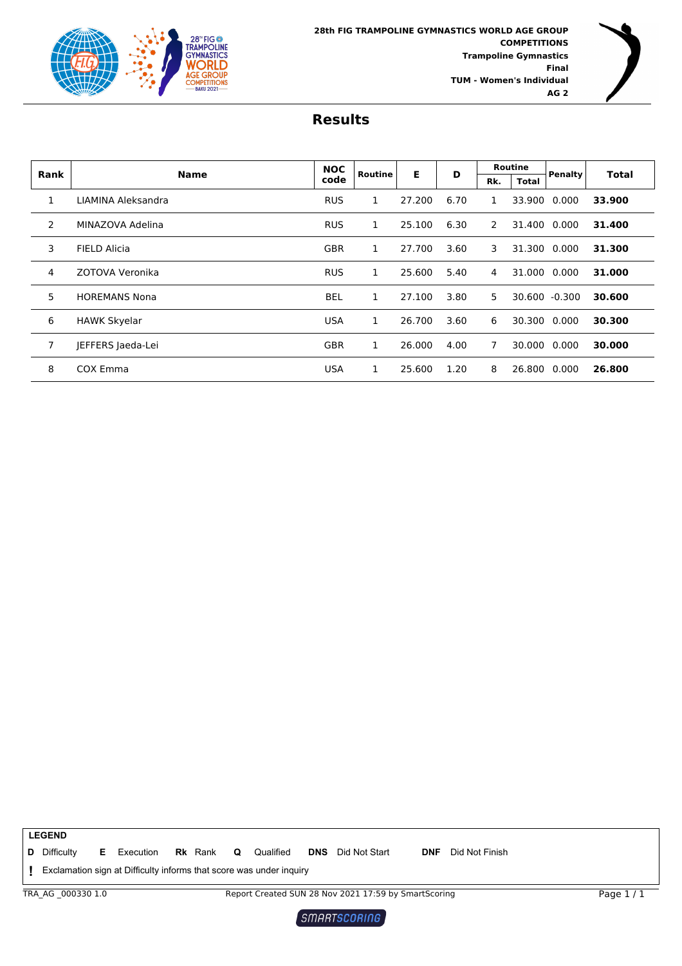



|                | <b>Name</b>          | <b>NOC</b> | Routine | Е      | D    |     | <b>Routine</b> | <b>Penalty</b> | <b>Total</b> |
|----------------|----------------------|------------|---------|--------|------|-----|----------------|----------------|--------------|
| Rank           |                      | code       |         |        |      | Rk. | <b>Total</b>   |                |              |
| $\mathbf{1}$   | LIAMINA Aleksandra   | <b>RUS</b> | 1       | 27.200 | 6.70 | 1   | 33.900         | 0.000          | 33.900       |
| 2              | MINAZOVA Adelina     | <b>RUS</b> | 1       | 25.100 | 6.30 | 2   | 31.400         | 0.000          | 31.400       |
| 3              | <b>FIELD Alicia</b>  | <b>GBR</b> | 1       | 27.700 | 3.60 | 3   | 31.300         | 0.000          | 31.300       |
| 4              | ZOTOVA Veronika      | <b>RUS</b> | 1       | 25.600 | 5.40 | 4   | 31.000         | 0.000          | 31.000       |
| 5              | <b>HOREMANS Nona</b> | <b>BEL</b> | 1       | 27.100 | 3.80 | 5   |                | 30.600 -0.300  | 30.600       |
| 6              | <b>HAWK Skyelar</b>  | <b>USA</b> | 1       | 26.700 | 3.60 | 6   | 30.300         | 0.000          | 30.300       |
| $\overline{7}$ | JEFFERS Jaeda-Lei    | <b>GBR</b> | 1       | 26.000 | 4.00 | 7   | 30.000         | 0.000          | 30.000       |
| 8              | COX Emma             | <b>USA</b> | 1       | 25.600 | 1.20 | 8   | 26.800         | 0.000          | 26.800       |

**Rk** Rank **Q** Qualified **DNS** Did Not Start **DNF** Did Not Finish Exclamation sign at Difficulty informs that score was under inquiry **! E** Execution **Rk** Rank **Q** Qualified **DNS** Did Not Start **D** Difficulty TRA\_AG \_000330 1.0 Report Created SUN 28 Nov 2021 17:59 by SmartScoring **LEGEND** Page 1 / 1

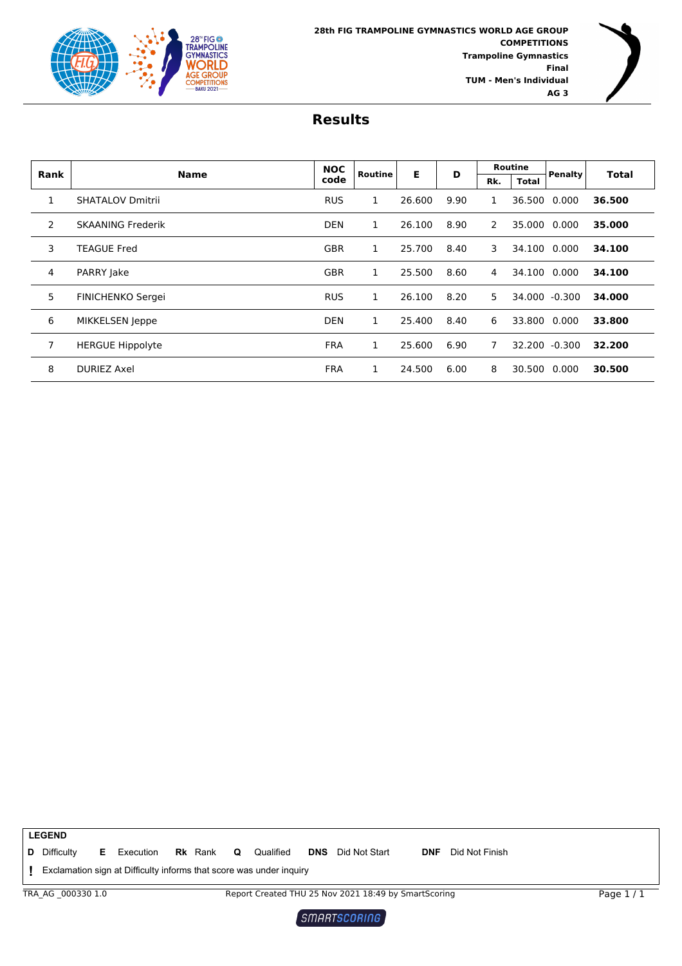

| Rank | <b>Name</b>              | <b>NOC</b> | Routine | Е      | D    |     | <b>Routine</b> | Penalty      | <b>Total</b> |
|------|--------------------------|------------|---------|--------|------|-----|----------------|--------------|--------------|
|      |                          | code       |         |        |      | Rk. | <b>Total</b>   |              |              |
| 1    | <b>SHATALOV Dmitrii</b>  | <b>RUS</b> | 1       | 26.600 | 9.90 | 1   | 36.500         | 0.000        | 36.500       |
| 2    | <b>SKAANING Frederik</b> | <b>DEN</b> | 1       | 26.100 | 8.90 | 2   | 35.000         | 0.000        | 35.000       |
| 3    | <b>TEAGUE Fred</b>       | <b>GBR</b> | 1       | 25.700 | 8.40 | 3   | 34.100         | 0.000        | 34.100       |
| 4    | PARRY Jake               | <b>GBR</b> | 1       | 25.500 | 8.60 | 4   | 34.100         | 0.000        | 34.100       |
| 5    | FINICHENKO Sergei        | <b>RUS</b> | 1       | 26.100 | 8.20 | 5   | 34.000         | $-0.300$     | 34.000       |
| 6    | MIKKELSEN Jeppe          | <b>DEN</b> | 1       | 25.400 | 8.40 | 6   |                | 33.800 0.000 | 33.800       |
| 7    | <b>HERGUE Hippolyte</b>  | <b>FRA</b> | 1       | 25.600 | 6.90 | 7   | 32.200         | -0.300       | 32.200       |
| 8    | <b>DURIEZ Axel</b>       | <b>FRA</b> | 1       | 24.500 | 6.00 | 8   |                | 30.500 0.000 | 30.500       |

**LEGEND E** Execution **Rk** Rank **Q** Qualified **DNS** Did Not Start **Rk** Rank **Q** Qualified **DNS** Did Not Start **DNF** Did Not Finish **D** Difficulty Exclamation sign at Difficulty informs that score was under inquiry **!** TRA\_AG \_000330 1.0 Report Created THU 25 Nov 2021 18:49 by SmartScoring Page 1 / 1 $\left[$  SMARTSCORING  $\right]$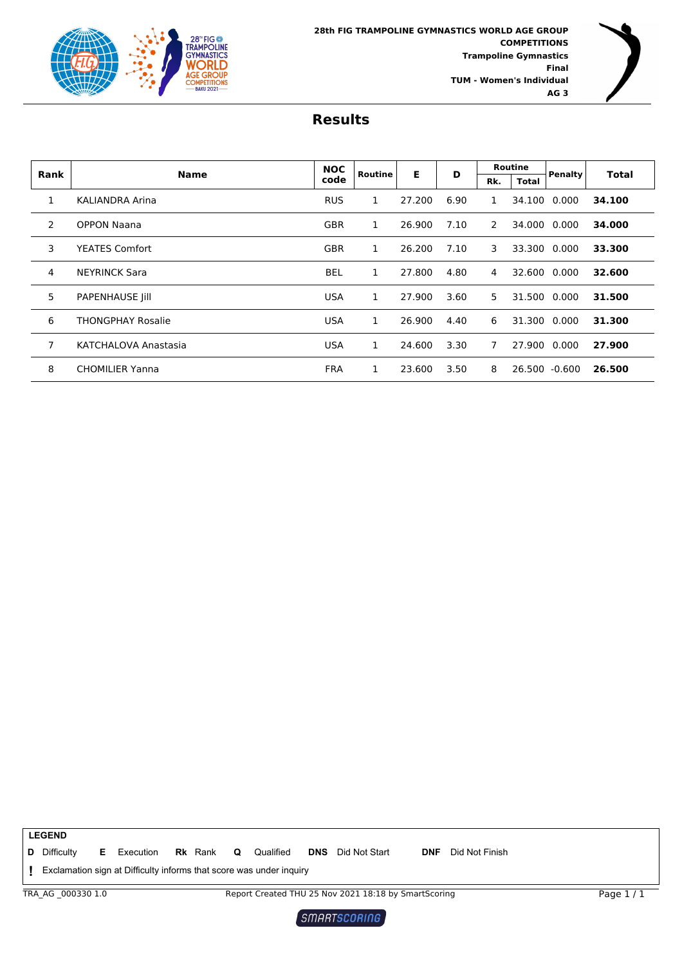



| Rank | <b>Name</b>            | <b>NOC</b> | Routine | Е      | D    |     | <b>Routine</b> | Penalty       | <b>Total</b> |
|------|------------------------|------------|---------|--------|------|-----|----------------|---------------|--------------|
|      |                        | code       |         |        |      | Rk. | <b>Total</b>   |               |              |
| 1    | KALIANDRA Arina        | <b>RUS</b> | 1       | 27.200 | 6.90 | 1   | 34.100         | 0.000         | 34.100       |
| 2    | <b>OPPON Naana</b>     | <b>GBR</b> | 1       | 26.900 | 7.10 | 2   | 34.000         | 0.000         | 34.000       |
| 3    | <b>YEATES Comfort</b>  | <b>GBR</b> | 1       | 26.200 | 7.10 | 3   | 33.300         | 0.000         | 33.300       |
| 4    | <b>NEYRINCK Sara</b>   | <b>BEL</b> | 1       | 27,800 | 4.80 | 4   | 32.600         | 0.000         | 32.600       |
| 5    | <b>PAPENHAUSE Jill</b> | <b>USA</b> | 1       | 27.900 | 3.60 | 5   | 31.500         | 0.000         | 31.500       |
| 6    | THONGPHAY Rosalie      | <b>USA</b> | 1       | 26.900 | 4.40 | 6   | 31.300         | 0.000         | 31.300       |
| 7    | KATCHALOVA Anastasia   | <b>USA</b> | 1       | 24.600 | 3.30 | 7   | 27.900         | 0.000         | 27.900       |
| 8    | <b>CHOMILIER Yanna</b> | <b>FRA</b> | 1       | 23.600 | 3.50 | 8   |                | 26.500 -0.600 | 26.500       |

**Rk** Rank **Q** Qualified **DNS** Did Not Start **DNF** Did Not Finish Exclamation sign at Difficulty informs that score was under inquiry **! E** Execution **Rk** Rank **Q** Qualified **DNS** Did Not Start **D** Difficulty TRA\_AG \_000330 1.0 Report Created THU 25 Nov 2021 18:18 by SmartScoring **LEGEND** Page 1 / 1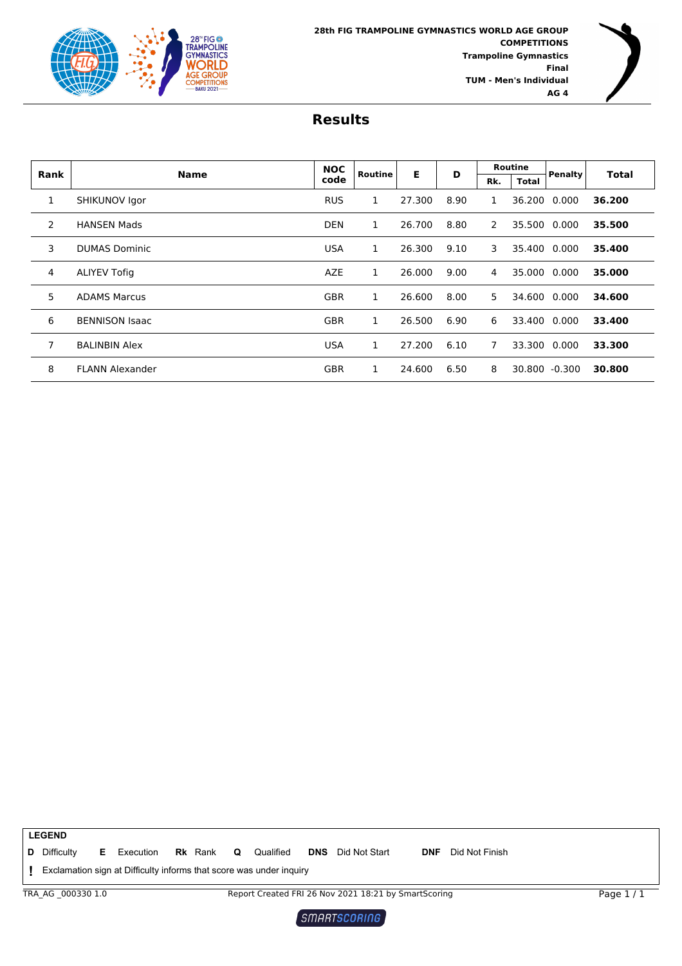

| Rank | <b>Name</b>            | <b>NOC</b> | Routine | Е      | D    |     | Routine | Penalty       | <b>Total</b> |
|------|------------------------|------------|---------|--------|------|-----|---------|---------------|--------------|
|      |                        | code       |         |        |      | Rk. | Total   |               |              |
| 1    | SHIKUNOV Igor          | <b>RUS</b> | 1       | 27.300 | 8.90 | 1   | 36.200  | 0.000         | 36.200       |
| 2    | <b>HANSEN Mads</b>     | <b>DEN</b> | 1       | 26.700 | 8.80 | 2   | 35.500  | 0.000         | 35.500       |
| 3    | <b>DUMAS Dominic</b>   | <b>USA</b> | 1       | 26.300 | 9.10 | 3   | 35.400  | 0.000         | 35.400       |
| 4    | <b>ALIYEV Tofig</b>    | <b>AZE</b> | 1       | 26,000 | 9.00 | 4   | 35.000  | 0.000         | 35.000       |
| 5    | <b>ADAMS Marcus</b>    | <b>GBR</b> | 1       | 26.600 | 8.00 | 5   | 34.600  | 0.000         | 34.600       |
| 6    | <b>BENNISON Isaac</b>  | <b>GBR</b> | 1       | 26.500 | 6.90 | 6   | 33.400  | 0.000         | 33.400       |
| 7    | <b>BALINBIN Alex</b>   | <b>USA</b> | 1       | 27.200 | 6.10 | 7   | 33.300  | 0.000         | 33.300       |
| 8    | <b>FLANN Alexander</b> | <b>GBR</b> | 1       | 24.600 | 6.50 | 8   |         | 30.800 -0.300 | 30.800       |

**LEGEND E** Execution **Rk** Rank **Q** Qualified **DNS** Did Not Start **Rk** Rank **Q** Qualified **DNS** Did Not Start **DNF** Did Not Finish **D** Difficulty Exclamation sign at Difficulty informs that score was under inquiry **!** TRA\_AG \_000330 1.0 Report Created FRI 26 Nov 2021 18:21 by SmartScoring Page 1 / 1 $\left[$  SMARTSCORING  $\right]$